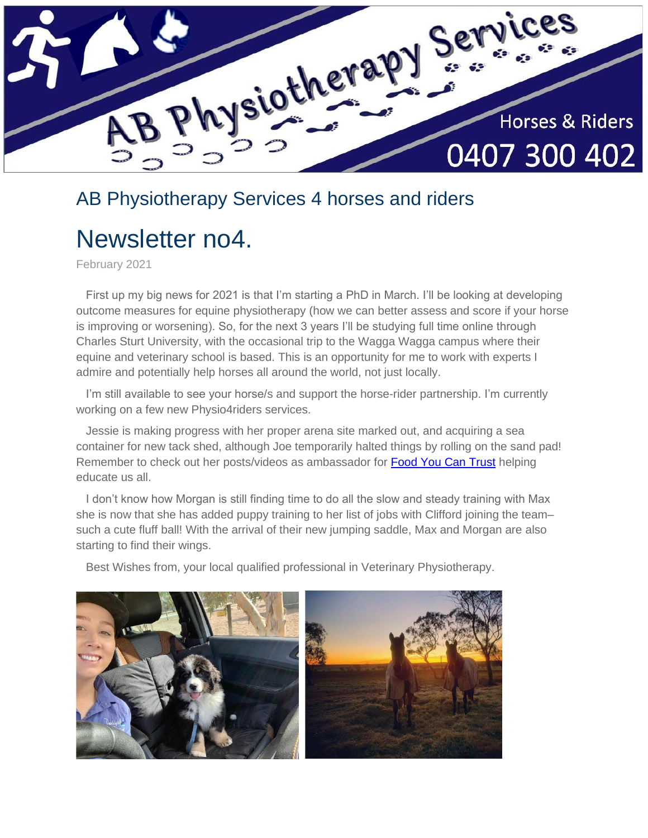

## AB Physiotherapy Services 4 horses and riders

# Newsletter no4.

February 2021

 First up my big news for 2021 is that I'm starting a PhD in March. I'll be looking at developing outcome measures for equine physiotherapy (how we can better assess and score if your horse is improving or worsening). So, for the next 3 years I'll be studying full time online through Charles Sturt University, with the occasional trip to the Wagga Wagga campus where their equine and veterinary school is based. This is an opportunity for me to work with experts I admire and potentially help horses all around the world, not just locally.

 I'm still available to see your horse/s and support the horse-rider partnership. I'm currently working on a few new Physio4riders services.

 Jessie is making progress with her proper arena site marked out, and acquiring a sea container for new tack shed, although Joe temporarily halted things by rolling on the sand pad! Remember to check out her posts/videos as ambassador for [Food You Can Trust](https://www.facebook.com/FoodYouCanTrust) helping educate us all.

 I don't know how Morgan is still finding time to do all the slow and steady training with Max she is now that she has added puppy training to her list of jobs with Clifford joining the team– such a cute fluff ball! With the arrival of their new jumping saddle, Max and Morgan are also starting to find their wings.

Best Wishes from, your local qualified professional in Veterinary Physiotherapy.

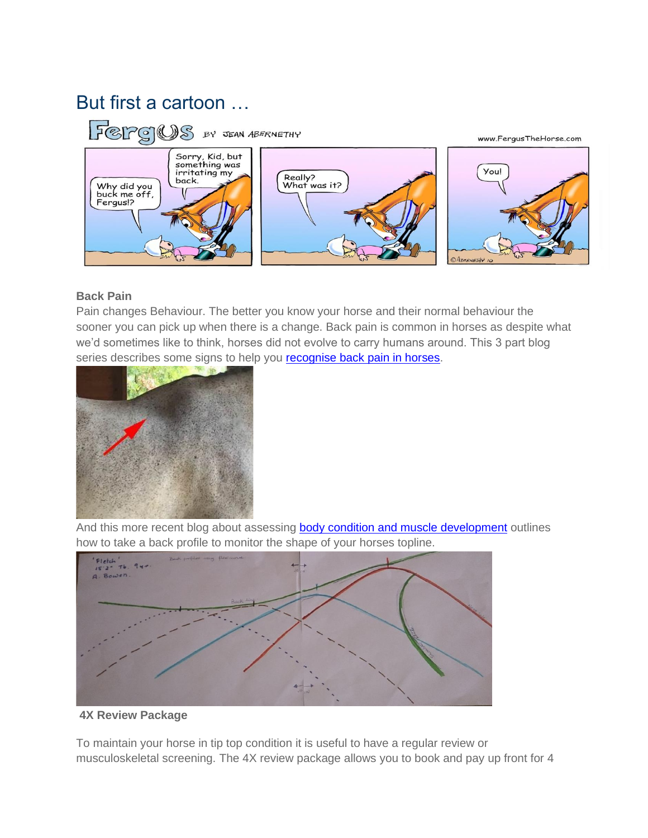# But first a cartoon …



#### **Back Pain**

Pain changes Behaviour. The better you know your horse and their normal behaviour the sooner you can pick up when there is a change. Back pain is common in horses as despite what we'd sometimes like to think, horses did not evolve to carry humans around. This 3 part blog series describes some signs to help you **recognise back pain in horses**.



And this more recent blog about assessing **body condition and muscle development** outlines how to take a back profile to monitor the shape of your horses topline.



#### **4X Review Package**

To maintain your horse in tip top condition it is useful to have a regular review or musculoskeletal screening. The 4X review package allows you to book and pay up front for 4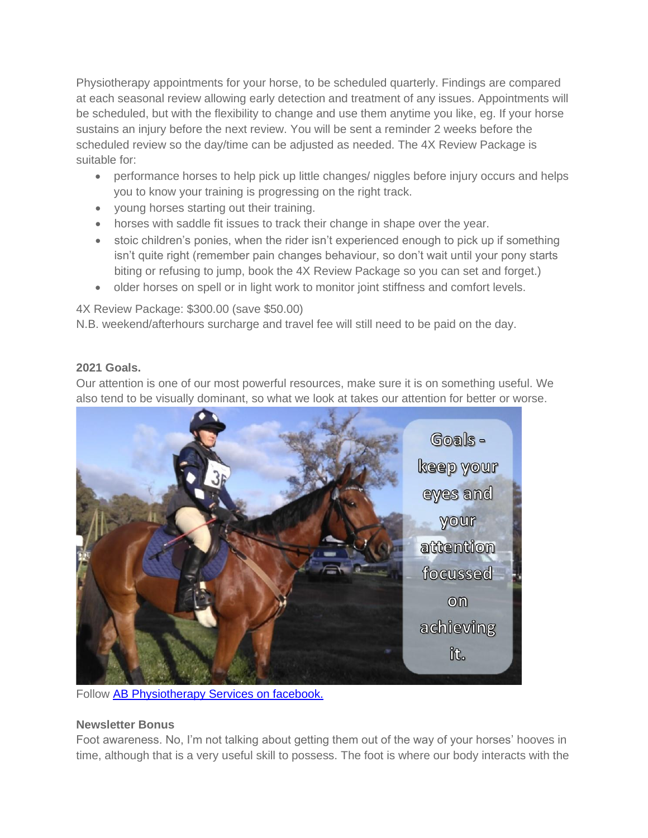Physiotherapy appointments for your horse, to be scheduled quarterly. Findings are compared at each seasonal review allowing early detection and treatment of any issues. Appointments will be scheduled, but with the flexibility to change and use them anytime you like, eg. If your horse sustains an injury before the next review. You will be sent a reminder 2 weeks before the scheduled review so the day/time can be adjusted as needed. The 4X Review Package is suitable for:

- performance horses to help pick up little changes/ niggles before injury occurs and helps you to know your training is progressing on the right track.
- young horses starting out their training.
- horses with saddle fit issues to track their change in shape over the year.
- stoic children's ponies, when the rider isn't experienced enough to pick up if something isn't quite right (remember pain changes behaviour, so don't wait until your pony starts biting or refusing to jump, book the 4X Review Package so you can set and forget.)
- older horses on spell or in light work to monitor joint stiffness and comfort levels.

4X Review Package: \$300.00 (save \$50.00)

N.B. weekend/afterhours surcharge and travel fee will still need to be paid on the day.

## **2021 Goals.**

Our attention is one of our most powerful resources, make sure it is on something useful. We also tend to be visually dominant, so what we look at takes our attention for better or worse.



Follow [AB Physiotherapy Services on facebook.](https://www.facebook.com/ABPhysiotherapyServicesforanimals)

## **Newsletter Bonus**

Foot awareness. No, I'm not talking about getting them out of the way of your horses' hooves in time, although that is a very useful skill to possess. The foot is where our body interacts with the